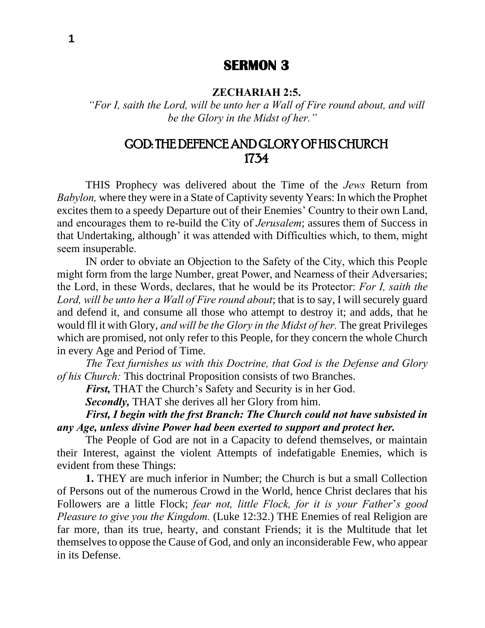## **SERMON 3**

#### **ZECHARIAH 2:5.**

*"For I, saith the Lord, will be unto her a Wall of Fire round about, and will be the Glory in the Midst of her."*

# GOD: THE DEFENCE AND GLORY OF HIS CHURCH 1734

THIS Prophecy was delivered about the Time of the *Jews* Return from *Babylon,* where they were in a State of Captivity seventy Years: In which the Prophet excites them to a speedy Departure out of their Enemies' Country to their own Land, and encourages them to re-build the City of *Jerusalem*; assures them of Success in that Undertaking, although' it was attended with Difficulties which, to them, might seem insuperable.

IN order to obviate an Objection to the Safety of the City, which this People might form from the large Number, great Power, and Nearness of their Adversaries; the Lord, in these Words, declares, that he would be its Protector: *For I, saith the Lord, will be unto her a Wall of Fire round about*; that is to say, I will securely guard and defend it, and consume all those who attempt to destroy it; and adds, that he would fll it with Glory, *and will be the Glory in the Midst of her.* The great Privileges which are promised, not only refer to this People, for they concern the whole Church in every Age and Period of Time.

*The Text furnishes us with this Doctrine, that God is the Defense and Glory of his Church:* This doctrinal Proposition consists of two Branches.

*First,* THAT the Church's Safety and Security is in her God.

*Secondly,* THAT she derives all her Glory from him.

*First, I begin with the frst Branch: The Church could not have subsisted in any Age, unless divine Power had been exerted to support and protect her.*

The People of God are not in a Capacity to defend themselves, or maintain their Interest, against the violent Attempts of indefatigable Enemies, which is evident from these Things:

**1.** THEY are much inferior in Number; the Church is but a small Collection of Persons out of the numerous Crowd in the World, hence Christ declares that his Followers are a little Flock; *fear not, little Flock, for it is your Father*'*s good Pleasure to give you the Kingdom.* (Luke 12:32.) THE Enemies of real Religion are far more, than its true, hearty, and constant Friends; it is the Multitude that let themselves to oppose the Cause of God, and only an inconsiderable Few, who appear in its Defense.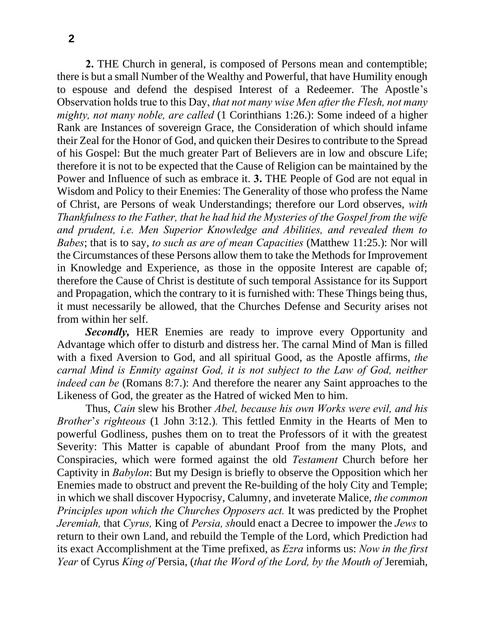**2.** THE Church in general, is composed of Persons mean and contemptible; there is but a small Number of the Wealthy and Powerful, that have Humility enough to espouse and defend the despised Interest of a Redeemer. The Apostle's Observation holds true to this Day, *that not many wise Men after the Flesh, not many mighty, not many noble, are called* (1 Corinthians 1:26.): Some indeed of a higher Rank are Instances of sovereign Grace, the Consideration of which should infame their Zeal for the Honor of God, and quicken their Desires to contribute to the Spread of his Gospel: But the much greater Part of Believers are in low and obscure Life; therefore it is not to be expected that the Cause of Religion can be maintained by the Power and Influence of such as embrace it. **3.** THE People of God are not equal in Wisdom and Policy to their Enemies: The Generality of those who profess the Name of Christ, are Persons of weak Understandings; therefore our Lord observes, *with Thankfulness to the Father, that he had hid the Mysteries of the Gospel from the wife and prudent, i.e. Men Superior Knowledge and Abilities, and revealed them to Babes*; that is to say, *to such as are of mean Capacities* (Matthew 11:25.): Nor will the Circumstances of these Persons allow them to take the Methods for Improvement in Knowledge and Experience, as those in the opposite Interest are capable of; therefore the Cause of Christ is destitute of such temporal Assistance for its Support and Propagation, which the contrary to it is furnished with: These Things being thus, it must necessarily be allowed, that the Churches Defense and Security arises not from within her self.

*Secondly,* HER Enemies are ready to improve every Opportunity and Advantage which offer to disturb and distress her. The carnal Mind of Man is filled with a fixed Aversion to God, and all spiritual Good, as the Apostle affirms, *the carnal Mind is Enmity against God, it is not subject to the Law of God, neither indeed can be* (Romans 8:7.): And therefore the nearer any Saint approaches to the Likeness of God, the greater as the Hatred of wicked Men to him.

Thus, *Cain* slew his Brother *Abel, because his own Works were evil, and his Brother*'*s righteous* (1 John 3:12.)*.* This fettled Enmity in the Hearts of Men to powerful Godliness, pushes them on to treat the Professors of it with the greatest Severity: This Matter is capable of abundant Proof from the many Plots, and Conspiracies, which were formed against the old *Testament* Church before her Captivity in *Babylon*: But my Design is briefly to observe the Opposition which her Enemies made to obstruct and prevent the Re-building of the holy City and Temple; in which we shall discover Hypocrisy, Calumny, and inveterate Malice, *the common Principles upon which the Churches Opposers act.* It was predicted by the Prophet *Jeremiah,* that *Cyrus,* King of *Persia, sh*ould enact a Decree to impower the *Jews* to return to their own Land, and rebuild the Temple of the Lord, which Prediction had its exact Accomplishment at the Time prefixed, as *Ezra* informs us: *Now in the first Year* of Cyrus *King of* Persia, (*that the Word of the Lord, by the Mouth of* Jeremiah,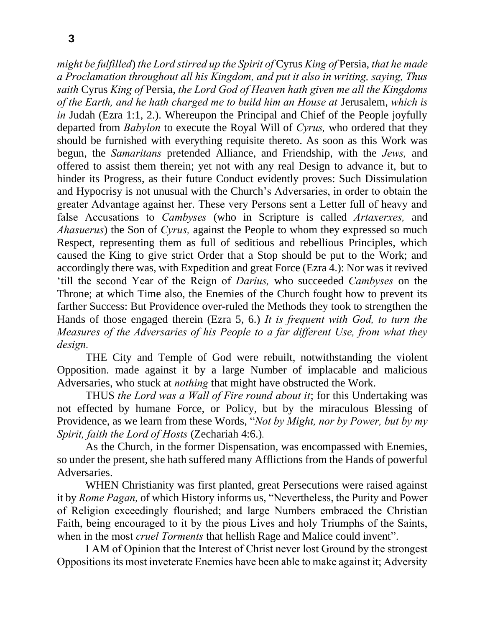*might be fulfilled*) *the Lord stirred up the Spirit of* Cyrus *King of* Persia, *that he made a Proclamation throughout all his Kingdom, and put it also in writing, saying, Thus saith* Cyrus *King of* Persia, *the Lord God of Heaven hath given me all the Kingdoms of the Earth, and he hath charged me to build him an House at* Jerusalem, *which is in* Judah (Ezra 1:1, 2.). Whereupon the Principal and Chief of the People joyfully departed from *Babylon* to execute the Royal Will of *Cyrus,* who ordered that they should be furnished with everything requisite thereto. As soon as this Work was begun, the *Samaritans* pretended Alliance, and Friendship, with the *Jews,* and offered to assist them therein; yet not with any real Design to advance it, but to hinder its Progress, as their future Conduct evidently proves: Such Dissimulation and Hypocrisy is not unusual with the Church's Adversaries, in order to obtain the greater Advantage against her. These very Persons sent a Letter full of heavy and false Accusations to *Cambyses* (who in Scripture is called *Artaxerxes,* and *Ahasuerus*) the Son of *Cyrus,* against the People to whom they expressed so much Respect, representing them as full of seditious and rebellious Principles, which caused the King to give strict Order that a Stop should be put to the Work; and accordingly there was, with Expedition and great Force (Ezra 4.): Nor was it revived 'till the second Year of the Reign of *Darius,* who succeeded *Cambyses* on the Throne; at which Time also, the Enemies of the Church fought how to prevent its farther Success: But Providence over-ruled the Methods they took to strengthen the Hands of those engaged therein (Ezra 5, 6.) *It is frequent with God, to turn the Measures of the Adversaries of his People to a far different Use, from what they design.*

THE City and Temple of God were rebuilt, notwithstanding the violent Opposition. made against it by a large Number of implacable and malicious Adversaries, who stuck at *nothing* that might have obstructed the Work.

THUS *the Lord was a Wall of Fire round about it*; for this Undertaking was not effected by humane Force, or Policy, but by the miraculous Blessing of Providence, as we learn from these Words, "*Not by Might, nor by Power, but by my Spirit, faith the Lord of Hosts* (Zechariah 4:6.)*.*

As the Church, in the former Dispensation, was encompassed with Enemies, so under the present, she hath suffered many Afflictions from the Hands of powerful Adversaries.

WHEN Christianity was first planted, great Persecutions were raised against it by *Rome Pagan,* of which History informs us, "Nevertheless, the Purity and Power of Religion exceedingly flourished; and large Numbers embraced the Christian Faith, being encouraged to it by the pious Lives and holy Triumphs of the Saints, when in the most *cruel Torments* that hellish Rage and Malice could invent".

I AM of Opinion that the Interest of Christ never lost Ground by the strongest Oppositions its most inveterate Enemies have been able to make against it; Adversity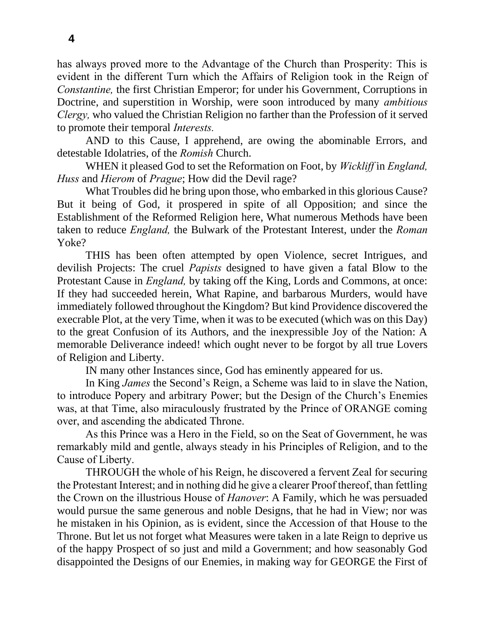has always proved more to the Advantage of the Church than Prosperity: This is evident in the different Turn which the Affairs of Religion took in the Reign of *Constantine,* the first Christian Emperor; for under his Government, Corruptions in Doctrine, and superstition in Worship, were soon introduced by many *ambitious Clergy,* who valued the Christian Religion no farther than the Profession of it served to promote their temporal *Interests.*

AND to this Cause, I apprehend, are owing the abominable Errors, and detestable Idolatries, of the *Romish* Church.

WHEN it pleased God to set the Reformation on Foot, by *Wickliff* in *England, Huss* and *Hierom* of *Prague*; How did the Devil rage?

What Troubles did he bring upon those, who embarked in this glorious Cause? But it being of God, it prospered in spite of all Opposition; and since the Establishment of the Reformed Religion here, What numerous Methods have been taken to reduce *England,* the Bulwark of the Protestant Interest, under the *Roman*  Yoke?

THIS has been often attempted by open Violence, secret Intrigues, and devilish Projects: The cruel *Papists* designed to have given a fatal Blow to the Protestant Cause in *England,* by taking off the King, Lords and Commons, at once: If they had succeeded herein, What Rapine, and barbarous Murders, would have immediately followed throughout the Kingdom? But kind Providence discovered the execrable Plot, at the very Time, when it was to be executed (which was on this Day) to the great Confusion of its Authors, and the inexpressible Joy of the Nation: A memorable Deliverance indeed! which ought never to be forgot by all true Lovers of Religion and Liberty.

IN many other Instances since, God has eminently appeared for us.

In King *James* the Second's Reign, a Scheme was laid to in slave the Nation, to introduce Popery and arbitrary Power; but the Design of the Church's Enemies was, at that Time, also miraculously frustrated by the Prince of ORANGE coming over, and ascending the abdicated Throne.

As this Prince was a Hero in the Field, so on the Seat of Government, he was remarkably mild and gentle, always steady in his Principles of Religion, and to the Cause of Liberty.

THROUGH the whole of his Reign, he discovered a fervent Zeal for securing the Protestant Interest; and in nothing did he give a clearer Proof thereof, than fettling the Crown on the illustrious House of *Hanover*: A Family, which he was persuaded would pursue the same generous and noble Designs, that he had in View; nor was he mistaken in his Opinion, as is evident, since the Accession of that House to the Throne. But let us not forget what Measures were taken in a late Reign to deprive us of the happy Prospect of so just and mild a Government; and how seasonably God disappointed the Designs of our Enemies, in making way for GEORGE the First of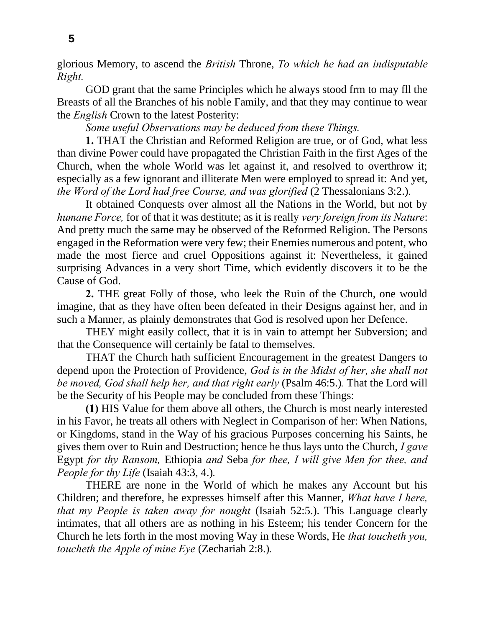glorious Memory, to ascend the *British* Throne, *To which he had an indisputable Right.*

GOD grant that the same Principles which he always stood frm to may fll the Breasts of all the Branches of his noble Family, and that they may continue to wear the *English* Crown to the latest Posterity:

*Some useful Observations may be deduced from these Things.*

**1.** THAT the Christian and Reformed Religion are true, or of God, what less than divine Power could have propagated the Christian Faith in the first Ages of the Church, when the whole World was let against it, and resolved to overthrow it; especially as a few ignorant and illiterate Men were employed to spread it: And yet, *the Word of the Lord had free Course, and was glorified* (2 Thessalonians 3:2.)*.*

It obtained Conquests over almost all the Nations in the World, but not by *humane Force,* for of that it was destitute; as it is really *very foreign from its Nature*: And pretty much the same may be observed of the Reformed Religion. The Persons engaged in the Reformation were very few; their Enemies numerous and potent, who made the most fierce and cruel Oppositions against it: Nevertheless, it gained surprising Advances in a very short Time, which evidently discovers it to be the Cause of God.

**2.** THE great Folly of those, who leek the Ruin of the Church, one would imagine, that as they have often been defeated in their Designs against her, and in such a Manner, as plainly demonstrates that God is resolved upon her Defence.

THEY might easily collect, that it is in vain to attempt her Subversion; and that the Consequence will certainly be fatal to themselves.

THAT the Church hath sufficient Encouragement in the greatest Dangers to depend upon the Protection of Providence, *God is in the Midst of her, she shall not be moved, God shall help her, and that right early* (Psalm 46:5.)*.* That the Lord will be the Security of his People may be concluded from these Things:

**(1)** HIS Value for them above all others, the Church is most nearly interested in his Favor, he treats all others with Neglect in Comparison of her: When Nations, or Kingdoms, stand in the Way of his gracious Purposes concerning his Saints, he gives them over to Ruin and Destruction; hence he thus lays unto the Church, *I gave* Egypt *for thy Ransom,* Ethiopia *and* Seba *for thee, I will give Men for thee, and People for thy Life* (Isaiah 43:3, 4.)*.*

THERE are none in the World of which he makes any Account but his Children; and therefore, he expresses himself after this Manner, *What have I here, that my People is taken away for nought* (Isaiah 52:5.). This Language clearly intimates, that all others are as nothing in his Esteem; his tender Concern for the Church he lets forth in the most moving Way in these Words, He *that toucheth you, toucheth the Apple of mine Eye* (Zechariah 2:8.)*.*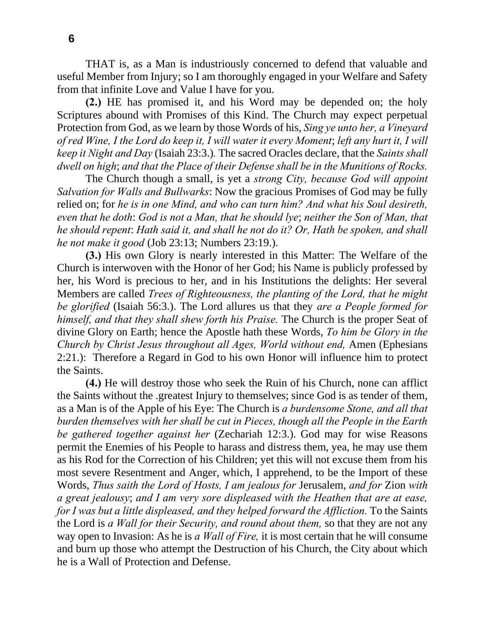THAT is, as a Man is industriously concerned to defend that valuable and useful Member from Injury; so I am thoroughly engaged in your Welfare and Safety from that infinite Love and Value I have for you.

**(2.)** HE has promised it, and his Word may be depended on; the holy Scriptures abound with Promises of this Kind. The Church may expect perpetual Protection from God, as we learn by those Words of his, *Sing ye unto her, a Vineyard of red Wine, I the Lord do keep it, I will water it every Moment*; *left any hurt it, I will keep it Night and Day* (Isaiah 23:3.)*.* The sacred Oracles declare, that the *Saints shall dwell on high*; *and that the Place of their Defense shall be in the Munitions of Rocks.*

The Church though a small, is yet a *strong City, because God will appoint Salvation for Walls and Bullwarks*: Now the gracious Promises of God may be fully relied on; for *he is in one Mind, and who can turn him? And what his Soul desireth, even that he doth*: *God is not a Man, that he should lye*; *neither the Son of Man, that he should repent*: *Hath said it, and shall he not do it? Or, Hath be spoken, and shall he not make it good* (Job 23:13; Numbers 23:19.).

**(3.)** His own Glory is nearly interested in this Matter: The Welfare of the Church is interwoven with the Honor of her God; his Name is publicly professed by her, his Word is precious to her, and in his Institutions the delights: Her several Members are called *Trees of Righteousness, the planting of the Lord, that he might be glorified* (Isaiah 56:3.). The Lord allures us that they *are a People formed for himself, and that they shall shew forth his Praise.* The Church is the proper Seat of divine Glory on Earth; hence the Apostle hath these Words, *To him be Glory in the Church by Christ Jesus throughout all Ages, World without end,* Amen (Ephesians 2:21.): Therefore a Regard in God to his own Honor will influence him to protect the Saints.

**(4.)** He will destroy those who seek the Ruin of his Church, none can afflict the Saints without the .greatest Injury to themselves; since God is as tender of them, as a Man is of the Apple of his Eye: The Church is *a burdensome Stone, and all that burden themselves with her shall be cut in Pieces, though all the People in the Earth be gathered together against her* (Zechariah 12:3.). God may for wise Reasons permit the Enemies of his People to harass and distress them, yea, he may use them as his Rod for the Correction of his Children; yet this will not excuse them from his most severe Resentment and Anger, which, I apprehend, to be the Import of these Words, *Thus saith the Lord of Hosts, I am jealous for* Jerusalem, *and for* Zion *with a great jealousy*; *and I am very sore displeased with the Heathen that are at ease, for I was but a little displeased, and they helped forward the Affliction.* To the Saints the Lord is *a Wall for their Security, and round about them,* so that they are not any way open to Invasion: As he is *a Wall of Fire,* it is most certain that he will consume and burn up those who attempt the Destruction of his Church, the City about which he is a Wall of Protection and Defense.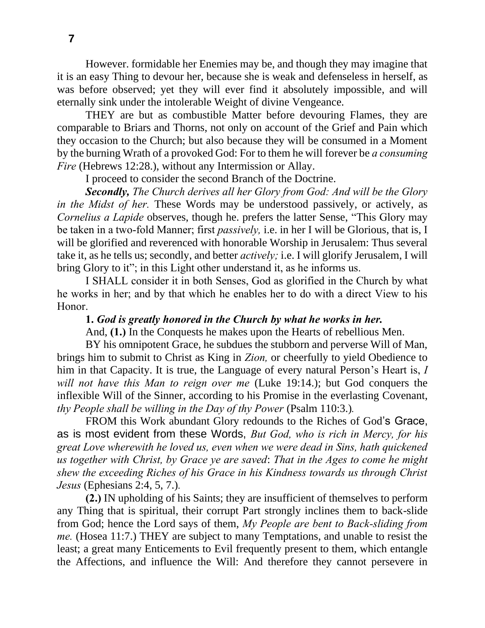However. formidable her Enemies may be, and though they may imagine that it is an easy Thing to devour her, because she is weak and defenseless in herself, as was before observed; yet they will ever find it absolutely impossible, and will eternally sink under the intolerable Weight of divine Vengeance.

THEY are but as combustible Matter before devouring Flames, they are comparable to Briars and Thorns, not only on account of the Grief and Pain which they occasion to the Church; but also because they will be consumed in a Moment by the burning Wrath of a provoked God: For to them he will forever be *a consuming Fire* (Hebrews 12:28.), without any Intermission or Allay.

I proceed to consider the second Branch of the Doctrine.

*Secondly, The Church derives all her Glory from God: And will be the Glory in the Midst of her.* These Words may be understood passively, or actively, as *Cornelius a Lapide* observes, though he. prefers the latter Sense, "This Glory may be taken in a two-fold Manner; first *passively,* i.e. in her I will be Glorious, that is, I will be glorified and reverenced with honorable Worship in Jerusalem: Thus several take it, as he tells us; secondly, and better *actively;* i.e. I will glorify Jerusalem, I will bring Glory to it"; in this Light other understand it, as he informs us.

I SHALL consider it in both Senses, God as glorified in the Church by what he works in her; and by that which he enables her to do with a direct View to his Honor.

#### **1.** *God is greatly honored in the Church by what he works in her.*

And, **(1.)** In the Conquests he makes upon the Hearts of rebellious Men.

BY his omnipotent Grace, he subdues the stubborn and perverse Will of Man, brings him to submit to Christ as King in *Zion,* or cheerfully to yield Obedience to him in that Capacity. It is true, the Language of every natural Person's Heart is, *I will not have this Man to reign over me* (Luke 19:14.); but God conquers the inflexible Will of the Sinner, according to his Promise in the everlasting Covenant, *thy People shall be willing in the Day of thy Power* (Psalm 110:3.)*.*

FROM this Work abundant Glory redounds to the Riches of God's Grace, as is most evident from these Words, *But God, who is rich in Mercy, for his great Love wherewith he loved us, even when we were dead in Sins, hath quickened us together with Christ, by Grace ye are saved*: *That in the Ages to come he might shew the exceeding Riches of his Grace in his Kindness towards us through Christ Jesus* (Ephesians 2:4, 5, 7.)*.* 

**(2.)** IN upholding of his Saints; they are insufficient of themselves to perform any Thing that is spiritual, their corrupt Part strongly inclines them to back-slide from God; hence the Lord says of them, *My People are bent to Back-sliding from me.* (Hosea 11:7.) THEY are subject to many Temptations, and unable to resist the least; a great many Enticements to Evil frequently present to them, which entangle the Affections, and influence the Will: And therefore they cannot persevere in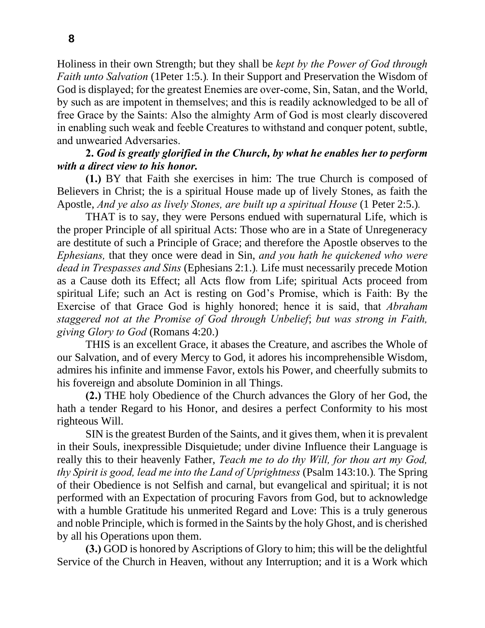Holiness in their own Strength; but they shall be *kept by the Power of God through Faith unto Salvation* (1Peter 1:5.). In their Support and Preservation the Wisdom of God is displayed; for the greatest Enemies are over-come, Sin, Satan, and the World, by such as are impotent in themselves; and this is readily acknowledged to be all of free Grace by the Saints: Also the almighty Arm of God is most clearly discovered in enabling such weak and feeble Creatures to withstand and conquer potent, subtle, and unwearied Adversaries.

### **2.** *God is greatly glorified in the Church, by what he enables her to perform with a direct view to his honor.*

**(1.)** BY that Faith she exercises in him: The true Church is composed of Believers in Christ; the is a spiritual House made up of lively Stones, as faith the Apostle, *And ye also as lively Stones, are built up a spiritual House* (1 Peter 2:5.)*.*

THAT is to say, they were Persons endued with supernatural Life, which is the proper Principle of all spiritual Acts: Those who are in a State of Unregeneracy are destitute of such a Principle of Grace; and therefore the Apostle observes to the *Ephesians,* that they once were dead in Sin, *and you hath he quickened who were dead in Trespasses and Sins* (Ephesians 2:1.)*.* Life must necessarily precede Motion as a Cause doth its Effect; all Acts flow from Life; spiritual Acts proceed from spiritual Life; such an Act is resting on God's Promise, which is Faith: By the Exercise of that Grace God is highly honored; hence it is said, that *Abraham staggered not at the Promise of God through Unbelief*; *but was strong in Faith, giving Glory to God* (Romans 4:20.)

THIS is an excellent Grace, it abases the Creature, and ascribes the Whole of our Salvation, and of every Mercy to God, it adores his incomprehensible Wisdom, admires his infinite and immense Favor, extols his Power, and cheerfully submits to his fovereign and absolute Dominion in all Things.

**(2.)** THE holy Obedience of the Church advances the Glory of her God, the hath a tender Regard to his Honor, and desires a perfect Conformity to his most righteous Will.

SIN is the greatest Burden of the Saints, and it gives them, when it is prevalent in their Souls, inexpressible Disquietude; under divine Influence their Language is really this to their heavenly Father, *Teach me to do thy Will, for thou art my God, thy Spirit is good, lead me into the Land of Uprightness* (Psalm 143:10.)*.* The Spring of their Obedience is not Selfish and carnal, but evangelical and spiritual; it is not performed with an Expectation of procuring Favors from God, but to acknowledge with a humble Gratitude his unmerited Regard and Love: This is a truly generous and noble Principle, which is formed in the Saints by the holy Ghost, and is cherished by all his Operations upon them.

**(3.)** GOD is honored by Ascriptions of Glory to him; this will be the delightful Service of the Church in Heaven, without any Interruption; and it is a Work which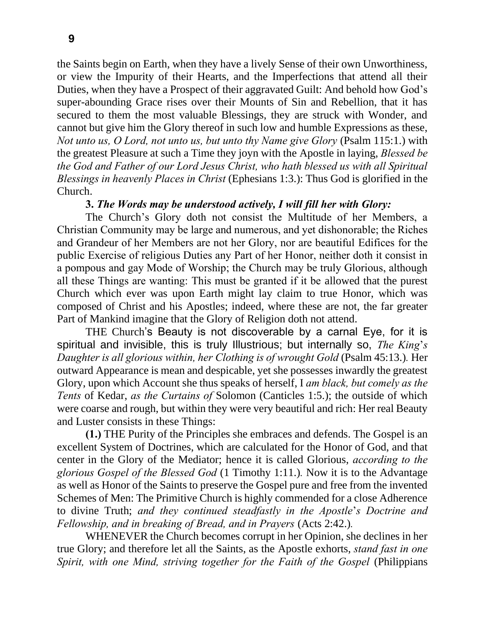**9**

the Saints begin on Earth, when they have a lively Sense of their own Unworthiness, or view the Impurity of their Hearts, and the Imperfections that attend all their Duties, when they have a Prospect of their aggravated Guilt: And behold how God's super-abounding Grace rises over their Mounts of Sin and Rebellion, that it has secured to them the most valuable Blessings, they are struck with Wonder, and cannot but give him the Glory thereof in such low and humble Expressions as these, *Not unto us, O Lord, not unto us, but unto thy Name give Glory (Psalm 115:1.)* with the greatest Pleasure at such a Time they joyn with the Apostle in laying, *Blessed be the God and Father of our Lord Jesus Christ, who hath blessed us with all Spiritual Blessings in heavenly Places in Christ* (Ephesians 1:3.): Thus God is glorified in the Church.

## **3.** *The Words may be understood actively, I will fill her with Glory:*

The Church's Glory doth not consist the Multitude of her Members, a Christian Community may be large and numerous, and yet dishonorable; the Riches and Grandeur of her Members are not her Glory, nor are beautiful Edifices for the public Exercise of religious Duties any Part of her Honor, neither doth it consist in a pompous and gay Mode of Worship; the Church may be truly Glorious, although all these Things are wanting: This must be granted if it be allowed that the purest Church which ever was upon Earth might lay claim to true Honor, which was composed of Christ and his Apostles; indeed, where these are not, the far greater Part of Mankind imagine that the Glory of Religion doth not attend.

THE Church's Beauty is not discoverable by a carnal Eye, for it is spiritual and invisible, this is truly Illustrious; but internally so, *The King*'*s Daughter is all glorious within, her Clothing is of wrought Gold* (Psalm 45:13.)*.* Her outward Appearance is mean and despicable, yet she possesses inwardly the greatest Glory, upon which Account she thus speaks of herself, I *am black, but comely as the Tents* of Kedar, *as the Curtains of* Solomon (Canticles 1:5.); the outside of which were coarse and rough, but within they were very beautiful and rich: Her real Beauty and Luster consists in these Things:

**(1.)** THE Purity of the Principles she embraces and defends. The Gospel is an excellent System of Doctrines, which are calculated for the Honor of God, and that center in the Glory of the Mediator; hence it is called Glorious, *according to the glorious Gospel of the Blessed God* (1 Timothy 1:11.)*.* Now it is to the Advantage as well as Honor of the Saints to preserve the Gospel pure and free from the invented Schemes of Men: The Primitive Church is highly commended for a close Adherence to divine Truth; *and they continued steadfastly in the Apostle*'*s Doctrine and Fellowship, and in breaking of Bread, and in Prayers* (Acts 2:42.)*.*

WHENEVER the Church becomes corrupt in her Opinion, she declines in her true Glory; and therefore let all the Saints, as the Apostle exhorts, *stand fast in one Spirit, with one Mind, striving together for the Faith of the Gospel* (Philippians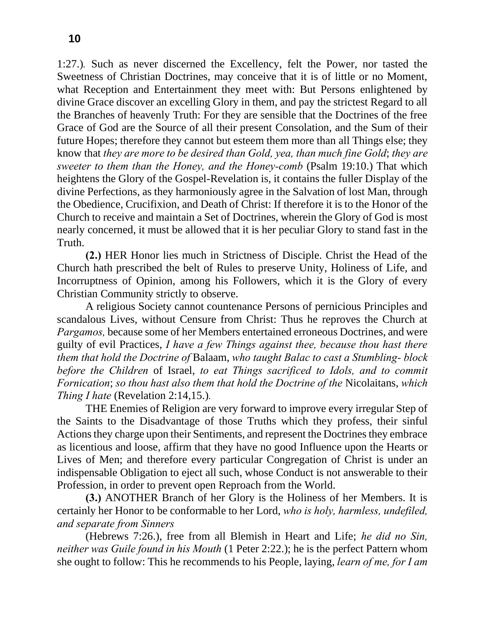1:27.)*.* Such as never discerned the Excellency, felt the Power, nor tasted the Sweetness of Christian Doctrines, may conceive that it is of little or no Moment, what Reception and Entertainment they meet with: But Persons enlightened by divine Grace discover an excelling Glory in them, and pay the strictest Regard to all the Branches of heavenly Truth: For they are sensible that the Doctrines of the free Grace of God are the Source of all their present Consolation, and the Sum of their future Hopes; therefore they cannot but esteem them more than all Things else; they know that *they are more to be desired than Gold, yea, than much fine Gold*; *they are sweeter to them than the Honey, and the Honey-comb* (Psalm 19:10.) That which heightens the Glory of the Gospel-Revelation is, it contains the fuller Display of the divine Perfections, as they harmoniously agree in the Salvation of lost Man, through the Obedience, Crucifixion, and Death of Christ: If therefore it is to the Honor of the Church to receive and maintain a Set of Doctrines, wherein the Glory of God is most nearly concerned, it must be allowed that it is her peculiar Glory to stand fast in the Truth.

**(2.)** HER Honor lies much in Strictness of Disciple. Christ the Head of the Church hath prescribed the belt of Rules to preserve Unity, Holiness of Life, and Incorruptness of Opinion, among his Followers, which it is the Glory of every Christian Community strictly to observe.

A religious Society cannot countenance Persons of pernicious Principles and scandalous Lives, without Censure from Christ: Thus he reproves the Church at *Pargamos,* because some of her Members entertained erroneous Doctrines, and were guilty of evil Practices, *I have a few Things against thee, because thou hast there them that hold the Doctrine of* Balaam, *who taught Balac to cast a Stumbling- block before the Children* of Israel, *to eat Things sacrificed to Idols, and to commit Fornication*; *so thou hast also them that hold the Doctrine of the* Nicolaitans, *which Thing I hate* (Revelation 2:14,15.).

THE Enemies of Religion are very forward to improve every irregular Step of the Saints to the Disadvantage of those Truths which they profess, their sinful Actions they charge upon their Sentiments, and represent the Doctrines they embrace as licentious and loose, affirm that they have no good Influence upon the Hearts or Lives of Men; and therefore every particular Congregation of Christ is under an indispensable Obligation to eject all such, whose Conduct is not answerable to their Profession, in order to prevent open Reproach from the World.

**(3.)** ANOTHER Branch of her Glory is the Holiness of her Members. It is certainly her Honor to be conformable to her Lord, *who is holy, harmless, undefiled, and separate from Sinners*

(Hebrews 7:26.), free from all Blemish in Heart and Life; *he did no Sin, neither was Guile found in his Mouth* (1 Peter 2:22.); he is the perfect Pattern whom she ought to follow: This he recommends to his People, laying, *learn of me, for I am*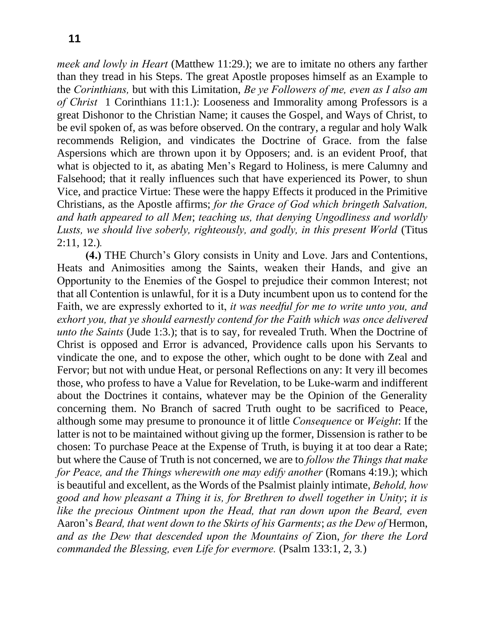*meek and lowly in Heart* (Matthew 11:29.); we are to imitate no others any farther than they tread in his Steps. The great Apostle proposes himself as an Example to the *Corinthians,* but with this Limitation, *Be ye Followers of me, even as I also am of Christ* 1 Corinthians 11:1.): Looseness and Immorality among Professors is a great Dishonor to the Christian Name; it causes the Gospel, and Ways of Christ, to be evil spoken of, as was before observed. On the contrary, a regular and holy Walk recommends Religion, and vindicates the Doctrine of Grace. from the false Aspersions which are thrown upon it by Opposers; and. is an evident Proof, that what is objected to it, as abating Men's Regard to Holiness, is mere Calumny and Falsehood; that it really influences such that have experienced its Power, to shun Vice, and practice Virtue: These were the happy Effects it produced in the Primitive Christians, as the Apostle affirms; *for the Grace of God which bringeth Salvation, and hath appeared to all Men*; *teaching us, that denying Ungodliness and worldly Lusts, we should live soberly, righteously, and godly, in this present World* (Titus 2:11, 12.)*.*

**(4.)** THE Church's Glory consists in Unity and Love. Jars and Contentions, Heats and Animosities among the Saints, weaken their Hands, and give an Opportunity to the Enemies of the Gospel to prejudice their common Interest; not that all Contention is unlawful, for it is a Duty incumbent upon us to contend for the Faith, we are expressly exhorted to it, *it was needful for me to write unto you, and exhort you, that ye should earnestly contend for the Faith which was once delivered unto the Saints* (Jude 1:3.); that is to say, for revealed Truth. When the Doctrine of Christ is opposed and Error is advanced, Providence calls upon his Servants to vindicate the one, and to expose the other, which ought to be done with Zeal and Fervor; but not with undue Heat, or personal Reflections on any: It very ill becomes those, who profess to have a Value for Revelation, to be Luke-warm and indifferent about the Doctrines it contains, whatever may be the Opinion of the Generality concerning them. No Branch of sacred Truth ought to be sacrificed to Peace, although some may presume to pronounce it of little *Consequence* or *Weight*: If the latter is not to be maintained without giving up the former, Dissension is rather to be chosen: To purchase Peace at the Expense of Truth, is buying it at too dear a Rate; but where the Cause of Truth is not concerned, we are to *follow the Things that make for Peace, and the Things wherewith one may edify another (Romans 4:19.); which* is beautiful and excellent, as the Words of the Psalmist plainly intimate, *Behold, how good and how pleasant a Thing it is, for Brethren to dwell together in Unity*; *it is like the precious Ointment upon the Head, that ran down upon the Beard, even*  Aaron's *Beard, that went down to the Skirts of his Garments*; *as the Dew of* Hermon, *and as the Dew that descended upon the Mountains of* Zion, *for there the Lord commanded the Blessing, even Life for evermore.* (Psalm 133:1, 2, 3*.*)